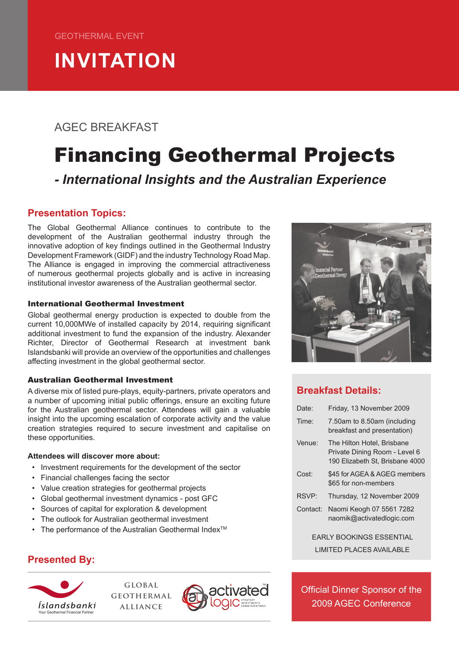# **INVITATION**

## AGEC BREAKFAST

## Financing Geothermal Projects

## *- International Insights and the Australian Experience*

### **Presentation Topics:**

The Global Geothermal Alliance continues to contribute to the development of the Australian geothermal industry through the innovative adoption of key findings outlined in the Geothermal Industry Development Framework (GIDF) and the industry Technology Road Map. The Alliance is engaged in improving the commercial attractiveness of numerous geothermal projects globally and is active in increasing institutional investor awareness of the Australian geothermal sector.

#### International Geothermal Investment

Global geothermal energy production is expected to double from the current 10,000MWe of installed capacity by 2014, requiring significant additional investment to fund the expansion of the industry. Alexander Richter, Director of Geothermal Research at investment bank Islandsbanki will provide an overview of the opportunities and challenges affecting investment in the global geothermal sector.

#### Australian Geothermal Investment

A diverse mix of listed pure-plays, equity-partners, private operators and a number of upcoming initial public offerings, ensure an exciting future for the Australian geothermal sector. Attendees will gain a valuable insight into the upcoming escalation of corporate activity and the value creation strategies required to secure investment and capitalise on these opportunities.

#### **Attendees will discover more about:**

- • Investment requirements for the development of the sector
- • Financial challenges facing the sector
- • Value creation strategies for geothermal projects
- • Global geothermal investment dynamics post GFC
- • Sources of capital for exploration & development
- • The outlook for Australian geothermal investment
- The performance of the Australian Geothermal Index<sup>TM</sup>

### **Presented By:**



**global geothermal alliance**



## **Breakfast Details:**

| Date:    | Friday, 13 November 2009                                                                       |
|----------|------------------------------------------------------------------------------------------------|
| Time:    | 7.50am to 8.50am (including<br>breakfast and presentation)                                     |
| Venue:   | The Hilton Hotel, Brisbane<br>Private Dining Room - Level 6<br>190 Elizabeth St. Brisbane 4000 |
| Cost:    | \$45 for AGEA & AGEG members<br>\$65 for non-members                                           |
| RSVP:    | Thursday, 12 November 2009                                                                     |
| Contact: | Naomi Keogh 07 5561 7282<br>naomik@activatedlogic.com                                          |

EARLY BOOKINGS ESSENTIAL LIMITED PLACES AVAILABLE